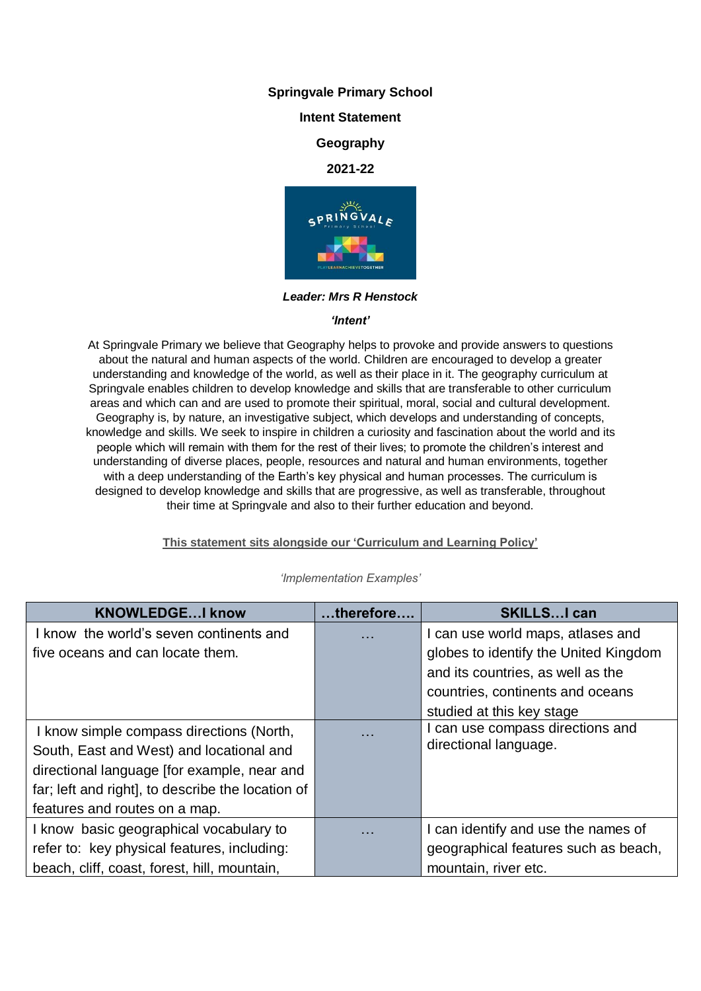# **Springvale Primary School**

# **Intent Statement**

# **Geography**

## **2021-22**



*Leader: Mrs R Henstock*

#### *'Intent'*

At Springvale Primary we believe that Geography helps to provoke and provide answers to questions about the natural and human aspects of the world. Children are encouraged to develop a greater understanding and knowledge of the world, as well as their place in it. The geography curriculum at Springvale enables children to develop knowledge and skills that are transferable to other curriculum areas and which can and are used to promote their spiritual, moral, social and cultural development. Geography is, by nature, an investigative subject, which develops and understanding of concepts, knowledge and skills. We seek to inspire in children a curiosity and fascination about the world and its people which will remain with them for the rest of their lives; to promote the children's interest and understanding of diverse places, people, resources and natural and human environments, together with a deep understanding of the Earth's key physical and human processes. The curriculum is designed to develop knowledge and skills that are progressive, as well as transferable, throughout their time at Springvale and also to their further education and beyond.

## **This statement sits alongside our 'Curriculum and Learning Policy'**

| <b>KNOWLEDGEI know</b>                            | therefore | <b>SKILLSI can</b>                    |
|---------------------------------------------------|-----------|---------------------------------------|
| know the world's seven continents and             | .         | I can use world maps, atlases and     |
| five oceans and can locate them.                  |           | globes to identify the United Kingdom |
|                                                   |           | and its countries, as well as the     |
|                                                   |           | countries, continents and oceans      |
|                                                   |           | studied at this key stage             |
| I know simple compass directions (North,          | .         | I can use compass directions and      |
| South, East and West) and locational and          |           | directional language.                 |
| directional language [for example, near and       |           |                                       |
| far; left and right], to describe the location of |           |                                       |
| features and routes on a map.                     |           |                                       |
| I know basic geographical vocabulary to           | .         | I can identify and use the names of   |
| refer to: key physical features, including:       |           | geographical features such as beach,  |
| beach, cliff, coast, forest, hill, mountain,      |           | mountain, river etc.                  |

## *'Implementation Examples'*